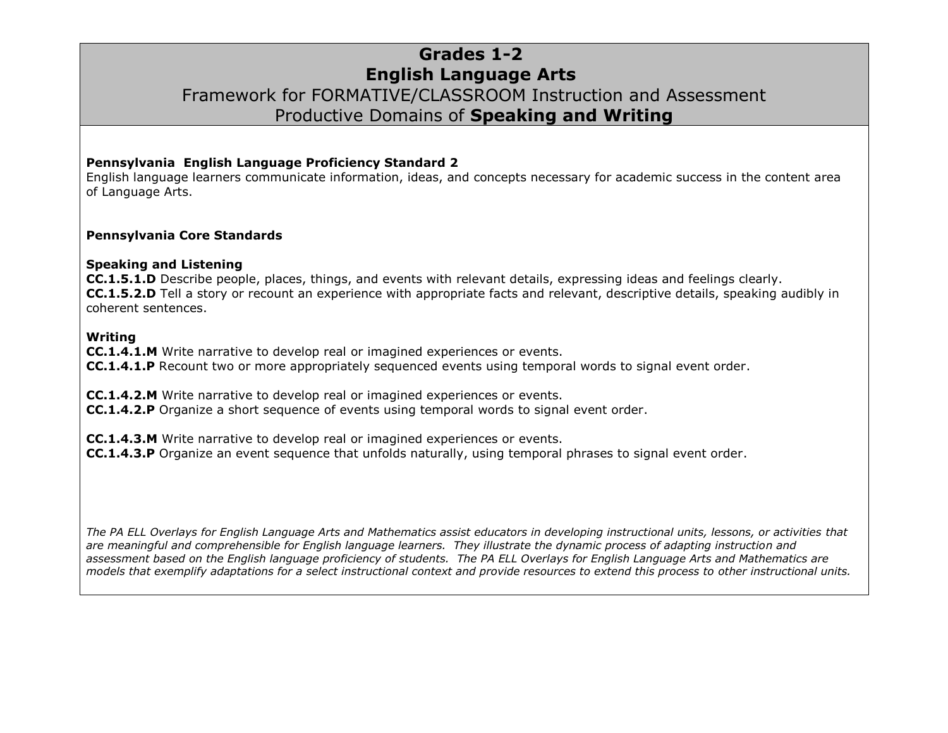### **Grades 1-2 English Language Arts** Framework for FORMATIVE/CLASSROOM Instruction and Assessment Productive Domains of **Speaking and Writing**

#### **Pennsylvania English Language Proficiency Standard 2**

English language learners communicate information, ideas, and concepts necessary for academic success in the content area of Language Arts.

#### **Pennsylvania Core Standards**

#### **Speaking and Listening**

**CC.1.5.1.D** Describe people, places, things, and events with relevant details, expressing ideas and feelings clearly. **CC.1.5.2.D** Tell a story or recount an experience with appropriate facts and relevant, descriptive details, speaking audibly in coherent sentences.

#### **Writing**

**CC.1.4.1.M** Write narrative to develop real or imagined experiences or events.

**CC.1.4.1.P** Recount two or more appropriately sequenced events using temporal words to signal event order.

**CC.1.4.2.M** Write narrative to develop real or imagined experiences or events.

**CC.1.4.2.P** Organize a short sequence of events using temporal words to signal event order.

**CC.1.4.3.M** Write narrative to develop real or imagined experiences or events.

**CC.1.4.3.P** Organize an event sequence that unfolds naturally, using temporal phrases to signal event order.

*The PA ELL Overlays for English Language Arts and Mathematics assist educators in developing instructional units, lessons, or activities that are meaningful and comprehensible for English language learners. They illustrate the dynamic process of adapting instruction and assessment based on the English language proficiency of students. The PA ELL Overlays for English Language Arts and Mathematics are models that exemplify adaptations for a select instructional context and provide resources to extend this process to other instructional units.*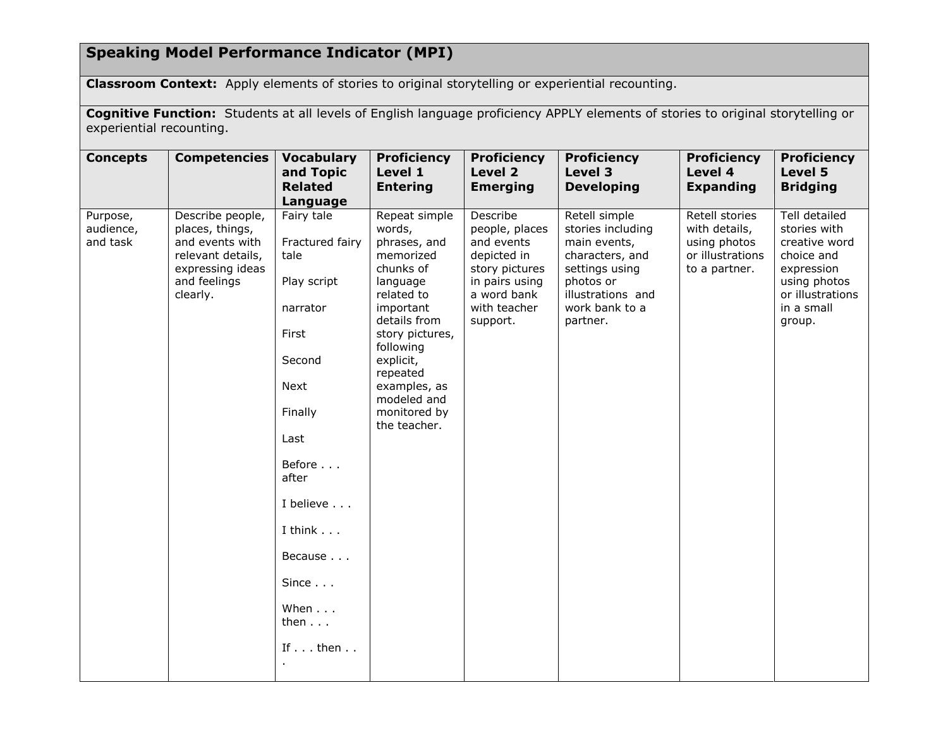# **Speaking Model Performance Indicator (MPI)**

**Classroom Context:** Apply elements of stories to original storytelling or experiential recounting.

**Cognitive Function:** Students at all levels of English language proficiency APPLY elements of stories to original storytelling or experiential recounting.

| <b>Concepts</b>                   | <b>Competencies</b>                                                                                                         | <b>Vocabulary</b><br>and Topic<br><b>Related</b><br>Language                                                                                                                                                                                                   | <b>Proficiency</b><br>Level 1<br><b>Entering</b>                                                                                                                                                                                                 | <b>Proficiency</b><br>Level 2<br><b>Emerging</b>                                                                                       | <b>Proficiency</b><br>Level 3<br><b>Developing</b>                                                                                                      | <b>Proficiency</b><br>Level 4<br><b>Expanding</b>                                    | <b>Proficiency</b><br>Level 5<br><b>Bridging</b>                                                                                       |
|-----------------------------------|-----------------------------------------------------------------------------------------------------------------------------|----------------------------------------------------------------------------------------------------------------------------------------------------------------------------------------------------------------------------------------------------------------|--------------------------------------------------------------------------------------------------------------------------------------------------------------------------------------------------------------------------------------------------|----------------------------------------------------------------------------------------------------------------------------------------|---------------------------------------------------------------------------------------------------------------------------------------------------------|--------------------------------------------------------------------------------------|----------------------------------------------------------------------------------------------------------------------------------------|
| Purpose,<br>audience,<br>and task | Describe people,<br>places, things,<br>and events with<br>relevant details,<br>expressing ideas<br>and feelings<br>clearly. | Fairy tale<br>Fractured fairy<br>tale<br>Play script<br>narrator<br>First<br>Second<br>Next<br>Finally<br>Last<br>Before<br>after<br>I believe<br>I think $\ldots$<br>Because<br>Since $\ldots$<br>When $\ldots$<br>then $\ldots$<br>If $\ldots$ then $\ldots$ | Repeat simple<br>words,<br>phrases, and<br>memorized<br>chunks of<br>language<br>related to<br>important<br>details from<br>story pictures,<br>following<br>explicit,<br>repeated<br>examples, as<br>modeled and<br>monitored by<br>the teacher. | Describe<br>people, places<br>and events<br>depicted in<br>story pictures<br>in pairs using<br>a word bank<br>with teacher<br>support. | Retell simple<br>stories including<br>main events,<br>characters, and<br>settings using<br>photos or<br>illustrations and<br>work bank to a<br>partner. | Retell stories<br>with details,<br>using photos<br>or illustrations<br>to a partner. | Tell detailed<br>stories with<br>creative word<br>choice and<br>expression<br>using photos<br>or illustrations<br>in a small<br>group. |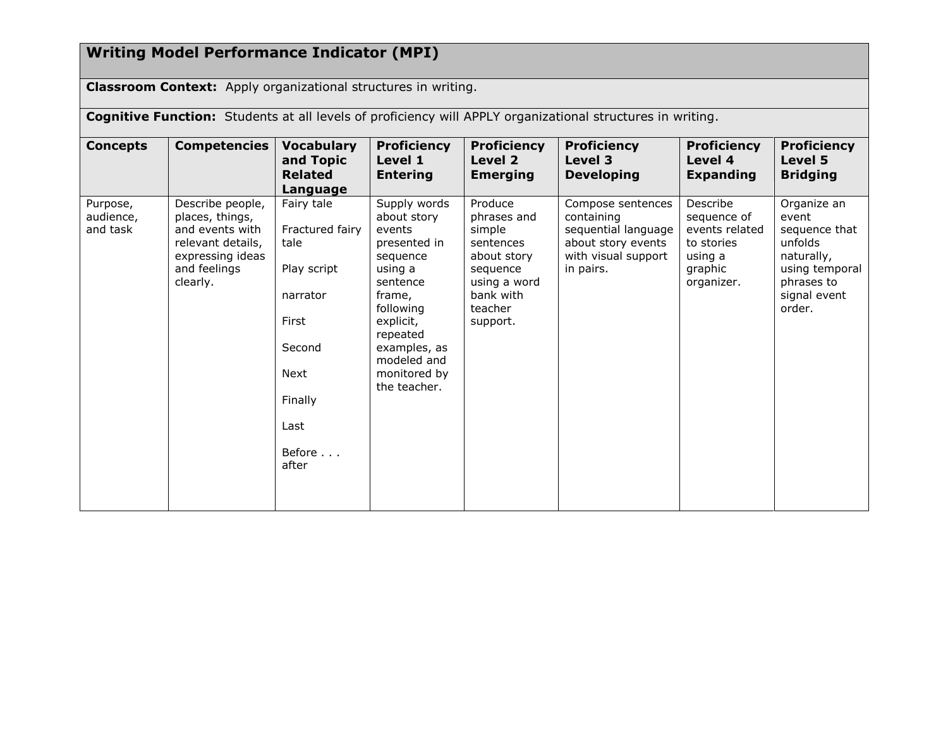# **Writing Model Performance Indicator (MPI)**

**Classroom Context:** Apply organizational structures in writing.

**Cognitive Function:** Students at all levels of proficiency will APPLY organizational structures in writing.

| <b>Concepts</b>                   | <b>Competencies</b>                                                                                                         | <b>Vocabulary</b><br>and Topic<br><b>Related</b><br>Language                                                                      | <b>Proficiency</b><br>Level 1<br><b>Entering</b>                                                                                                                                                        | <b>Proficiency</b><br>Level 2<br><b>Emerging</b>                                                                             | <b>Proficiency</b><br>Level 3<br><b>Developing</b>                                                               | <b>Proficiency</b><br>Level 4<br><b>Expanding</b>                                           | <b>Proficiency</b><br>Level 5<br><b>Bridging</b>                                                                         |
|-----------------------------------|-----------------------------------------------------------------------------------------------------------------------------|-----------------------------------------------------------------------------------------------------------------------------------|---------------------------------------------------------------------------------------------------------------------------------------------------------------------------------------------------------|------------------------------------------------------------------------------------------------------------------------------|------------------------------------------------------------------------------------------------------------------|---------------------------------------------------------------------------------------------|--------------------------------------------------------------------------------------------------------------------------|
| Purpose,<br>audience,<br>and task | Describe people,<br>places, things,<br>and events with<br>relevant details,<br>expressing ideas<br>and feelings<br>clearly. | Fairy tale<br>Fractured fairy<br>tale<br>Play script<br>narrator<br>First<br>Second<br>Next<br>Finally<br>Last<br>Before<br>after | Supply words<br>about story<br>events<br>presented in<br>sequence<br>using a<br>sentence<br>frame,<br>following<br>explicit,<br>repeated<br>examples, as<br>modeled and<br>monitored by<br>the teacher. | Produce<br>phrases and<br>simple<br>sentences<br>about story<br>sequence<br>using a word<br>bank with<br>teacher<br>support. | Compose sentences<br>containing<br>sequential language<br>about story events<br>with visual support<br>in pairs. | Describe<br>sequence of<br>events related<br>to stories<br>using a<br>graphic<br>organizer. | Organize an<br>event<br>sequence that<br>unfolds<br>naturally,<br>using temporal<br>phrases to<br>signal event<br>order. |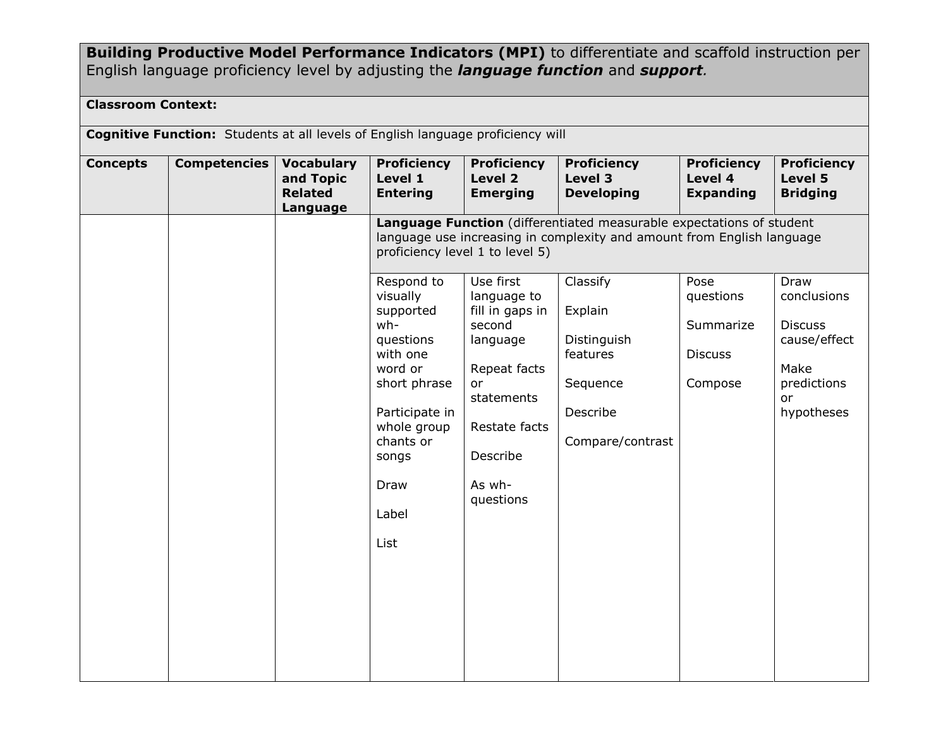**Building Productive Model Performance Indicators (MPI)** to differentiate and scaffold instruction per English language proficiency level by adjusting the *language function* and *support.*

### **Classroom Context:**

| <b>Cognitive Function:</b> Students at all levels of English language proficiency will |                     |                                                              |                                                                                                                                                                                       |                                                                                                                                                           |                                                                                                                            |                                                             |                                                                                                  |  |
|----------------------------------------------------------------------------------------|---------------------|--------------------------------------------------------------|---------------------------------------------------------------------------------------------------------------------------------------------------------------------------------------|-----------------------------------------------------------------------------------------------------------------------------------------------------------|----------------------------------------------------------------------------------------------------------------------------|-------------------------------------------------------------|--------------------------------------------------------------------------------------------------|--|
| <b>Concepts</b>                                                                        | <b>Competencies</b> | <b>Vocabulary</b><br>and Topic<br><b>Related</b><br>Language | <b>Proficiency</b><br>Level 1<br><b>Entering</b>                                                                                                                                      | <b>Proficiency</b><br>Level 2<br><b>Emerging</b>                                                                                                          | <b>Proficiency</b><br>Level 3<br><b>Developing</b><br>Language Function (differentiated measurable expectations of student | <b>Proficiency</b><br>Level 4<br><b>Expanding</b>           | <b>Proficiency</b><br>Level 5<br><b>Bridging</b>                                                 |  |
|                                                                                        |                     |                                                              |                                                                                                                                                                                       | proficiency level 1 to level 5)                                                                                                                           | language use increasing in complexity and amount from English language                                                     |                                                             |                                                                                                  |  |
|                                                                                        |                     |                                                              | Respond to<br>visually<br>supported<br>wh-<br>questions<br>with one<br>word or<br>short phrase<br>Participate in<br>whole group<br>chants or<br>songs<br>Draw<br>Label<br><b>List</b> | Use first<br>language to<br>fill in gaps in<br>second<br>language<br>Repeat facts<br>or<br>statements<br>Restate facts<br>Describe<br>As wh-<br>questions | Classify<br>Explain<br>Distinguish<br>features<br>Sequence<br>Describe<br>Compare/contrast                                 | Pose<br>questions<br>Summarize<br><b>Discuss</b><br>Compose | Draw<br>conclusions<br><b>Discuss</b><br>cause/effect<br>Make<br>predictions<br>or<br>hypotheses |  |